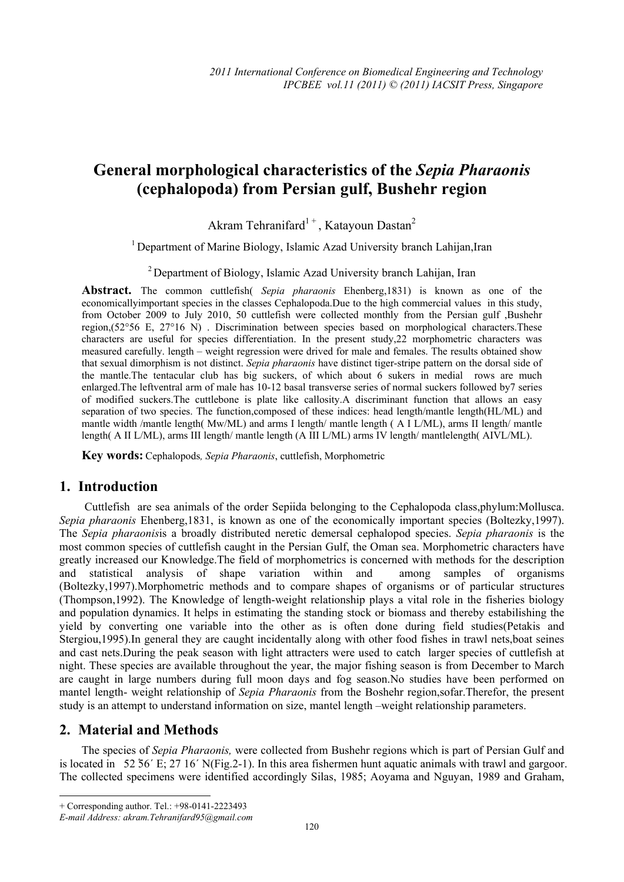# **General morphological characteristics of the** *Sepia Pharaonis*  **(cephalopoda) from Persian gulf, Bushehr region**

Akram Tehranifard<sup>1+</sup>, Katayoun Dastan<sup>2</sup>

<sup>1</sup> Department of Marine Biology, Islamic Azad University branch Lahijan, Iran

<sup>2</sup> Department of Biology, Islamic Azad University branch Lahijan, Iran

**Abstract.** The common cuttlefish( *Sepia pharaonis* Ehenberg,1831) is known as one of the economicallyimportant species in the classes Cephalopoda.Due to the high commercial values in this study, from October 2009 to July 2010, 50 cuttlefish were collected monthly from the Persian gulf ,Bushehr region,(52°56 E, 27°16 N) . Discrimination between species based on morphological characters.These characters are useful for species differentiation. In the present study,22 morphometric characters was measured carefully. length – weight regression were drived for male and females. The results obtained show that sexual dimorphism is not distinct. *Sepia pharaonis* have distinct tiger-stripe pattern on the dorsal side of the mantle.The tentacular club has big suckers, of which about 6 sukers in medial rows are much enlarged.The leftventral arm of male has 10-12 basal transverse series of normal suckers followed by7 series of modified suckers.The cuttlebone is plate like callosity.A discriminant function that allows an easy separation of two species. The function,composed of these indices: head length/mantle length(HL/ML) and mantle width /mantle length( Mw/ML) and arms I length/ mantle length ( A I L/ML), arms II length/ mantle length( A II L/ML), arms III length/ mantle length (A III L/ML) arms IV length/ mantlelength( AIVL/ML).

**Key words:** Cephalopods*, Sepia Pharaonis*, cuttlefish, Morphometric

### **1. Introduction**

 Cuttlefish are sea animals of the order Sepiida belonging to the Cephalopoda class,phylum:Mollusca. *Sepia pharaonis* Ehenberg,1831, is known as one of the economically important species (Boltezky,1997). The *Sepia pharaonis*is a broadly distributed neretic demersal cephalopod species. *Sepia pharaonis* is the most common species of cuttlefish caught in the Persian Gulf, the Oman sea. Morphometric characters have greatly increased our Knowledge.The field of morphometrics is concerned with methods for the description and statistical analysis of shape variation within and among samples of organisms (Boltezky,1997).Morphometric methods and to compare shapes of organisms or of particular structures (Thompson,1992). The Knowledge of length-weight relationship plays a vital role in the fisheries biology and population dynamics. It helps in estimating the standing stock or biomass and thereby estabilishing the yield by converting one variable into the other as is often done during field studies(Petakis and Stergiou,1995).In general they are caught incidentally along with other food fishes in trawl nets,boat seines and cast nets.During the peak season with light attracters were used to catch larger species of cuttlefish at night. These species are available throughout the year, the major fishing season is from December to March are caught in large numbers during full moon days and fog season.No studies have been performed on mantel length- weight relationship of *Sepia Pharaonis* from the Boshehr region,sofar.Therefor, the present study is an attempt to understand information on size, mantel length –weight relationship parameters.

## **2. Material and Methods**

 $\overline{\phantom{a}}$ 

The species of *Sepia Pharaonis,* were collected from Bushehr regions which is part of Persian Gulf and is located in 52 ْ56´ E; 27 16´ N(Fig.2-1). In this area fishermen hunt aquatic animals with trawl and gargoor. The collected specimens were identified accordingly Silas, 1985; Aoyama and Nguyan, 1989 and Graham,

<sup>+</sup> Corresponding author. Tel.: +98-0141-2223493

*E-mail Address: akram.Tehranifard95@gmail.com*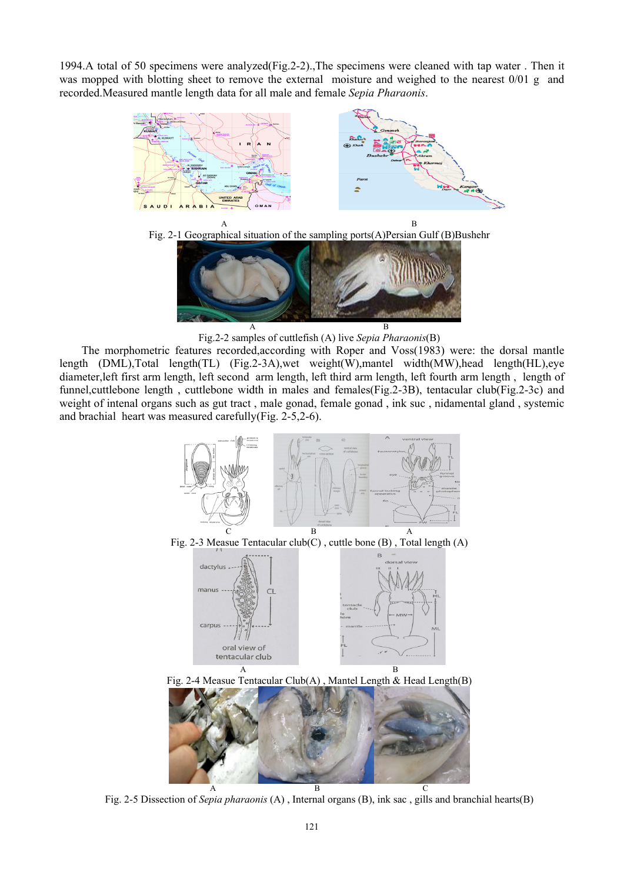1994.A total of 50 specimens were analyzed(Fig.2-2).,The specimens were cleaned with tap water . Then it was mopped with blotting sheet to remove the external moisture and weighed to the nearest 0/01 g and recorded.Measured mantle length data for all male and female *Sepia Pharaonis*.







A B Fig.2-2 samples of cuttlefish (A) live *Sepia Pharaonis*(B)

The morphometric features recorded,according with Roper and Voss(1983) were: the dorsal mantle length (DML),Total length(TL) (Fig.2-3A),wet weight(W),mantel width(MW),head length(HL),eye diameter,left first arm length, left second arm length, left third arm length, left fourth arm length , length of funnel,cuttlebone length , cuttlebone width in males and females(Fig.2-3B), tentacular club(Fig.2-3c) and weight of intenal organs such as gut tract , male gonad, female gonad , ink suc , nidamental gland , systemic and brachial heart was measured carefully(Fig. 2-5,2-6).



Fig. 2-5 Dissection of *Sepia pharaonis* (A) , Internal organs (B), ink sac , gills and branchial hearts(B)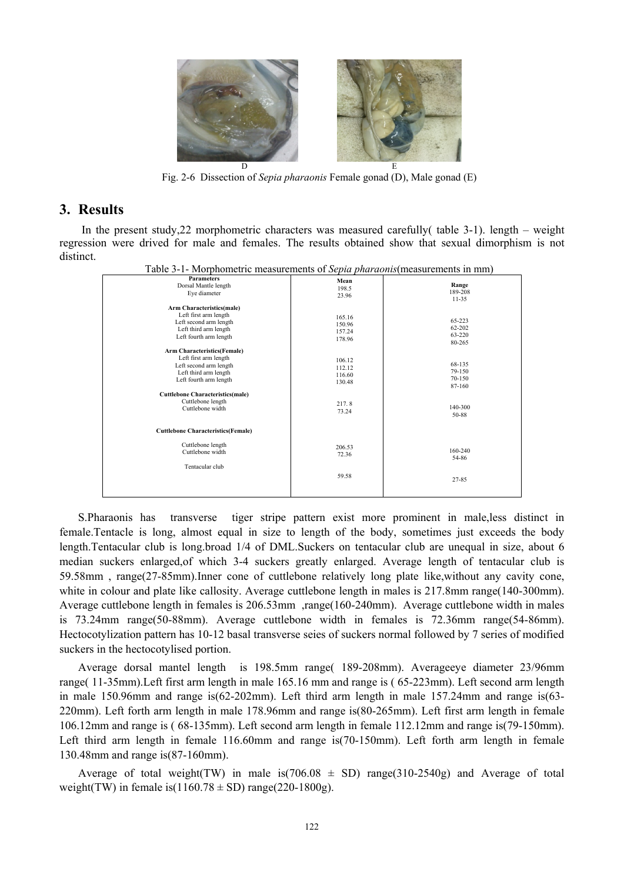

Fig. 2-6 Dissection of *Sepia pharaonis* Female gonad (D), Male gonad (E)

#### **3. Results**

In the present study, 22 morphometric characters was measured carefully  $\ell$  table 3-1). length – weight regression were drived for male and females. The results obtained show that sexual dimorphism is not distinct.

| I avic 3-1- Morphoniculum ineasurements of <i>sepia pharaonis</i> (measurements in min)                                                  |                                      |                                      |
|------------------------------------------------------------------------------------------------------------------------------------------|--------------------------------------|--------------------------------------|
| <b>Parameters</b><br>Dorsal Mantle length<br>Eye diameter                                                                                | Mean<br>198.5<br>23.96               | Range<br>189-208<br>$11 - 35$        |
| Arm Characteristics(male)<br>Left first arm length<br>Left second arm length<br>Left third arm length<br>Left fourth arm length          | 165.16<br>150.96<br>157.24<br>178.96 | 65-223<br>62-202<br>63-220<br>80-265 |
| <b>Arm Characteristics(Female)</b><br>Left first arm length<br>Left second arm length<br>Left third arm length<br>Left fourth arm length | 106.12<br>112.12<br>116.60<br>130.48 | 68-135<br>79-150<br>70-150<br>87-160 |
| <b>Cuttlebone Characteristics(male)</b><br>Cuttlebone length<br>Cuttlebone width                                                         | 217.8<br>73.24                       | 140-300<br>50-88                     |
| <b>Cuttlebone Characteristics(Female)</b>                                                                                                |                                      |                                      |
| Cuttlebone length<br>Cuttlebone width<br>Tentacular club                                                                                 | 206.53<br>72.36                      | 160-240<br>54-86                     |
|                                                                                                                                          | 59.58                                | 27-85                                |

**hometric measurements of** *Sepia pharaonis*(measurements in mm)

S.Pharaonis has transverse tiger stripe pattern exist more prominent in male,less distinct in female.Tentacle is long, almost equal in size to length of the body, sometimes just exceeds the body length.Tentacular club is long.broad 1/4 of DML.Suckers on tentacular club are unequal in size, about 6 median suckers enlarged,of which 3-4 suckers greatly enlarged. Average length of tentacular club is 59.58mm , range(27-85mm).Inner cone of cuttlebone relatively long plate like,without any cavity cone, white in colour and plate like callosity. Average cuttlebone length in males is 217.8mm range(140-300mm). Average cuttlebone length in females is 206.53mm ,range(160-240mm). Average cuttlebone width in males is 73.24mm range(50-88mm). Average cuttlebone width in females is 72.36mm range(54-86mm). Hectocotylization pattern has 10-12 basal transverse seies of suckers normal followed by 7 series of modified suckers in the hectocotylised portion.

Average dorsal mantel length is 198.5mm range( 189-208mm). Averageeye diameter 23/96mm range( 11-35mm).Left first arm length in male 165.16 mm and range is ( 65-223mm). Left second arm length in male 150.96mm and range is(62-202mm). Left third arm length in male 157.24mm and range is(63- 220mm). Left forth arm length in male 178.96mm and range is(80-265mm). Left first arm length in female 106.12mm and range is ( 68-135mm). Left second arm length in female 112.12mm and range is(79-150mm). Left third arm length in female 116.60mm and range is(70-150mm). Left forth arm length in female 130.48mm and range is(87-160mm).

Average of total weight(TW) in male is(706.08  $\pm$  SD) range(310-2540g) and Average of total weight(TW) in female is( $1160.78 \pm SD$ ) range(220-1800g).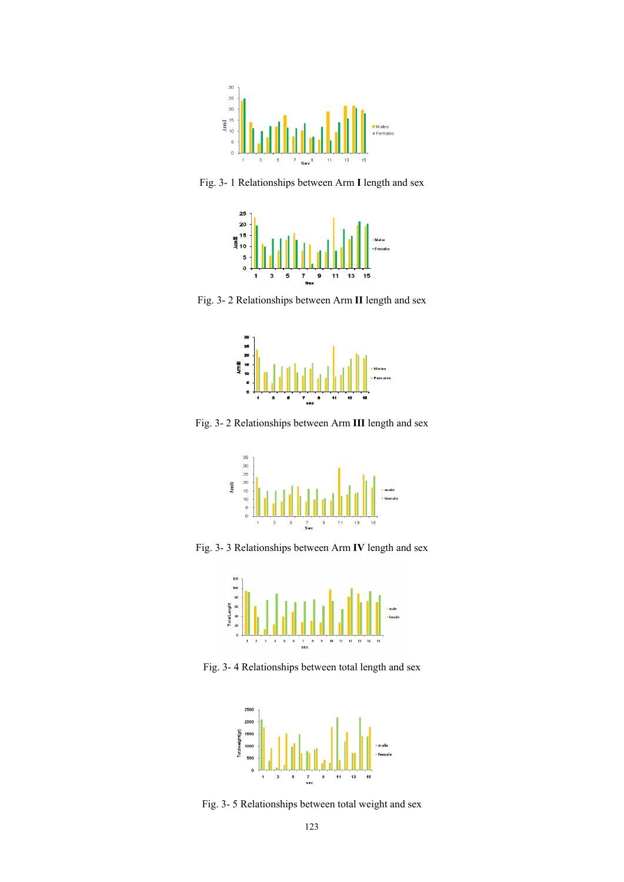

Fig. 3- 1 Relationships between Arm **I** length and sex



Fig. 3- 2 Relationships between Arm **II** length and sex



Fig. 3- 2 Relationships between Arm **III** length and sex



Fig. 3- 3 Relationships between Arm **IV** length and sex



Fig. 3- 4 Relationships between total length and sex



Fig. 3- 5 Relationships between total weight and sex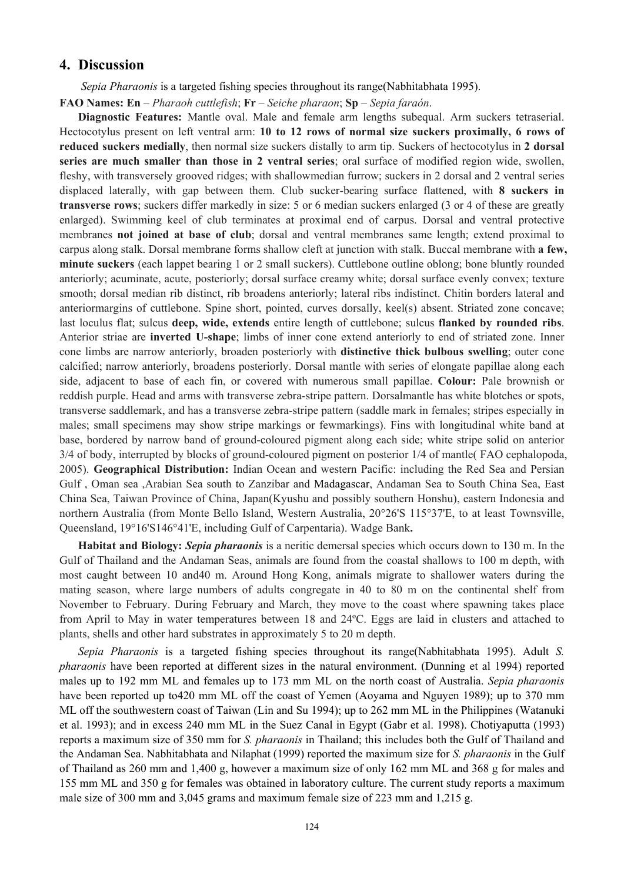#### **4. Discussion**

 *Sepia Pharaonis* is a targeted fishing species throughout its range(Nabhitabhata 1995).

**FAO Names: En** – *Pharaoh cuttlefish*; **Fr** – *Seiche pharaon*; **Sp** – *Sepia faraón*.

**Diagnostic Features:** Mantle oval. Male and female arm lengths subequal. Arm suckers tetraserial. Hectocotylus present on left ventral arm: **10 to 12 rows of normal size suckers proximally, 6 rows of reduced suckers medially**, then normal size suckers distally to arm tip. Suckers of hectocotylus in **2 dorsal series are much smaller than those in 2 ventral series**; oral surface of modified region wide, swollen, fleshy, with transversely grooved ridges; with shallowmedian furrow; suckers in 2 dorsal and 2 ventral series displaced laterally, with gap between them. Club sucker-bearing surface flattened, with **8 suckers in transverse rows**; suckers differ markedly in size: 5 or 6 median suckers enlarged (3 or 4 of these are greatly enlarged). Swimming keel of club terminates at proximal end of carpus. Dorsal and ventral protective membranes **not joined at base of club**; dorsal and ventral membranes same length; extend proximal to carpus along stalk. Dorsal membrane forms shallow cleft at junction with stalk. Buccal membrane with **a few, minute suckers** (each lappet bearing 1 or 2 small suckers). Cuttlebone outline oblong; bone bluntly rounded anteriorly; acuminate, acute, posteriorly; dorsal surface creamy white; dorsal surface evenly convex; texture smooth; dorsal median rib distinct, rib broadens anteriorly; lateral ribs indistinct. Chitin borders lateral and anteriormargins of cuttlebone. Spine short, pointed, curves dorsally, keel(s) absent. Striated zone concave; last loculus flat; sulcus **deep, wide, extends** entire length of cuttlebone; sulcus **flanked by rounded ribs**. Anterior striae are **inverted U-shape**; limbs of inner cone extend anteriorly to end of striated zone. Inner cone limbs are narrow anteriorly, broaden posteriorly with **distinctive thick bulbous swelling**; outer cone calcified; narrow anteriorly, broadens posteriorly. Dorsal mantle with series of elongate papillae along each side, adjacent to base of each fin, or covered with numerous small papillae. **Colour:** Pale brownish or reddish purple. Head and arms with transverse zebra-stripe pattern. Dorsalmantle has white blotches or spots, transverse saddlemark, and has a transverse zebra-stripe pattern (saddle mark in females; stripes especially in males; small specimens may show stripe markings or fewmarkings). Fins with longitudinal white band at base, bordered by narrow band of ground-coloured pigment along each side; white stripe solid on anterior 3/4 of body, interrupted by blocks of ground-coloured pigment on posterior 1/4 of mantle( FAO cephalopoda, 2005). **Geographical Distribution:** Indian Ocean and western Pacific: including the Red Sea and Persian Gulf , Oman sea ,Arabian Sea south to Zanzibar and Madagascar, Andaman Sea to South China Sea, East China Sea, Taiwan Province of China, Japan(Kyushu and possibly southern Honshu), eastern Indonesia and northern Australia (from Monte Bello Island, Western Australia, 20°26'S 115°37'E, to at least Townsville, Queensland, 19°16'S146°41'E, including Gulf of Carpentaria). Wadge Bank**.** 

**Habitat and Biology:** *Sepia pharaonis* is a neritic demersal species which occurs down to 130 m. In the Gulf of Thailand and the Andaman Seas, animals are found from the coastal shallows to 100 m depth, with most caught between 10 and40 m. Around Hong Kong, animals migrate to shallower waters during the mating season, where large numbers of adults congregate in 40 to 80 m on the continental shelf from November to February. During February and March, they move to the coast where spawning takes place from April to May in water temperatures between 18 and 24ºC. Eggs are laid in clusters and attached to plants, shells and other hard substrates in approximately 5 to 20 m depth.

*Sepia Pharaonis* is a targeted fishing species throughout its range(Nabhitabhata 1995). Adult *S. pharaonis* have been reported at different sizes in the natural environment. (Dunning et al 1994) reported males up to 192 mm ML and females up to 173 mm ML on the north coast of Australia. *Sepia pharaonis*  have been reported up to 420 mm ML off the coast of Yemen (Aoyama and Nguyen 1989); up to 370 mm ML off the southwestern coast of Taiwan (Lin and Su 1994); up to 262 mm ML in the Philippines (Watanuki et al. 1993); and in excess 240 mm ML in the Suez Canal in Egypt (Gabr et al. 1998). Chotiyaputta (1993) reports a maximum size of 350 mm for *S. pharaonis* in Thailand; this includes both the Gulf of Thailand and the Andaman Sea. Nabhitabhata and Nilaphat (1999) reported the maximum size for *S. pharaonis* in the Gulf of Thailand as 260 mm and 1,400 g, however a maximum size of only 162 mm ML and 368 g for males and 155 mm ML and 350 g for females was obtained in laboratory culture. The current study reports a maximum male size of 300 mm and 3,045 grams and maximum female size of 223 mm and 1,215 g.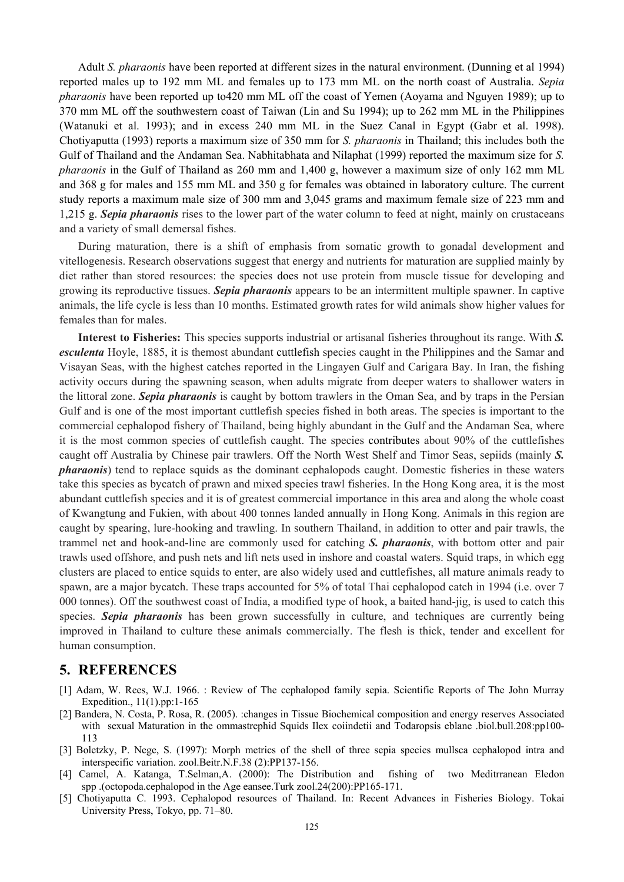Adult *S. pharaonis* have been reported at different sizes in the natural environment. (Dunning et al 1994) reported males up to 192 mm ML and females up to 173 mm ML on the north coast of Australia. *Sepia pharaonis* have been reported up to420 mm ML off the coast of Yemen (Aoyama and Nguyen 1989); up to 370 mm ML off the southwestern coast of Taiwan (Lin and Su 1994); up to 262 mm ML in the Philippines (Watanuki et al. 1993); and in excess 240 mm ML in the Suez Canal in Egypt (Gabr et al. 1998). Chotiyaputta (1993) reports a maximum size of 350 mm for *S. pharaonis* in Thailand; this includes both the Gulf of Thailand and the Andaman Sea. Nabhitabhata and Nilaphat (1999) reported the maximum size for *S. pharaonis* in the Gulf of Thailand as 260 mm and 1,400 g, however a maximum size of only 162 mm ML and 368 g for males and 155 mm ML and 350 g for females was obtained in laboratory culture. The current study reports a maximum male size of 300 mm and 3,045 grams and maximum female size of 223 mm and 1,215 g. *Sepia pharaonis* rises to the lower part of the water column to feed at night, mainly on crustaceans and a variety of small demersal fishes.

During maturation, there is a shift of emphasis from somatic growth to gonadal development and vitellogenesis. Research observations suggest that energy and nutrients for maturation are supplied mainly by diet rather than stored resources: the species does not use protein from muscle tissue for developing and growing its reproductive tissues. *Sepia pharaonis* appears to be an intermittent multiple spawner. In captive animals, the life cycle is less than 10 months. Estimated growth rates for wild animals show higher values for females than for males.

**Interest to Fisheries:** This species supports industrial or artisanal fisheries throughout its range. With *S. esculenta* Hoyle, 1885, it is themost abundant cuttlefish species caught in the Philippines and the Samar and Visayan Seas, with the highest catches reported in the Lingayen Gulf and Carigara Bay. In Iran, the fishing activity occurs during the spawning season, when adults migrate from deeper waters to shallower waters in the littoral zone. *Sepia pharaonis* is caught by bottom trawlers in the Oman Sea, and by traps in the Persian Gulf and is one of the most important cuttlefish species fished in both areas. The species is important to the commercial cephalopod fishery of Thailand, being highly abundant in the Gulf and the Andaman Sea, where it is the most common species of cuttlefish caught. The species contributes about 90% of the cuttlefishes caught off Australia by Chinese pair trawlers. Off the North West Shelf and Timor Seas, sepiids (mainly *S. pharaonis*) tend to replace squids as the dominant cephalopods caught. Domestic fisheries in these waters take this species as bycatch of prawn and mixed species trawl fisheries. In the Hong Kong area, it is the most abundant cuttlefish species and it is of greatest commercial importance in this area and along the whole coast of Kwangtung and Fukien, with about 400 tonnes landed annually in Hong Kong. Animals in this region are caught by spearing, lure-hooking and trawling. In southern Thailand, in addition to otter and pair trawls, the trammel net and hook-and-line are commonly used for catching *S. pharaonis*, with bottom otter and pair trawls used offshore, and push nets and lift nets used in inshore and coastal waters. Squid traps, in which egg clusters are placed to entice squids to enter, are also widely used and cuttlefishes, all mature animals ready to spawn, are a major bycatch. These traps accounted for 5% of total Thai cephalopod catch in 1994 (i.e. over 7 000 tonnes). Off the southwest coast of India, a modified type of hook, a baited hand-jig, is used to catch this species. *Sepia pharaonis* has been grown successfully in culture, and techniques are currently being improved in Thailand to culture these animals commercially. The flesh is thick, tender and excellent for human consumption.

#### **5. REFERENCES**

- [1] Adam, W. Rees, W.J. 1966. : Review of The cephalopod family sepia. Scientific Reports of The John Murray Expedition., 11(1).pp:1-165
- [2] Bandera, N. Costa, P. Rosa, R. (2005). :changes in Tissue Biochemical composition and energy reserves Associated with sexual Maturation in the ommastrephid Squids Ilex coiindetii and Todaropsis eblane .biol.bull.208:pp100-113
- [3] Boletzky, P. Nege, S. (1997): Morph metrics of the shell of three sepia species mullsca cephalopod intra and interspecific variation. zool.Beitr.N.F.38 (2):PP137-156.
- [4] Camel, A. Katanga, T.Selman,A. (2000): The Distribution and fishing of two Meditrranean Eledon spp .(octopoda.cephalopod in the Age eansee.Turk zool.24(200):PP165-171.
- [5] Chotiyaputta C. 1993. Cephalopod resources of Thailand. In: Recent Advances in Fisheries Biology. Tokai University Press, Tokyo, pp. 71–80.